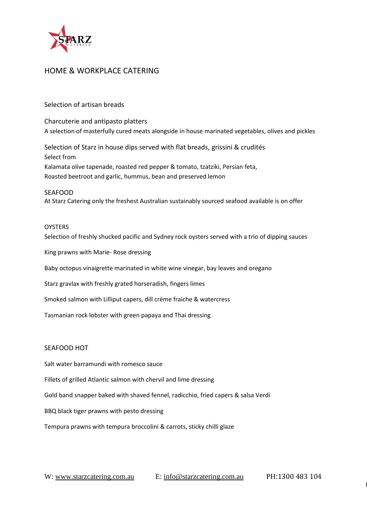

### Selection of artisan breads

Charcuterie and antipasto platters A selection of masterfully cured meats alongside in house marinated vegetables, olives and pickles

Selection of Starz in house dips served with flat breads, grissini & crudités Select from Kalamata olive tapenade, roasted red pepper & tomato, tzatziki, Persian feta, Roasted beetroot and garlic, hummus, bean and preserved lemon

SEAFOOD At Starz Catering only the freshest Australian sustainably sourced seafood available is on offer

#### **OYSTERS**

Selection of freshly shucked pacific and Sydney rock oysters served with a trio of dipping sauces

King prawns with Marie- Rose dressing

Baby octopus vinaigrette marinated in white wine vinegar, bay leaves and oregano

Starz gravlax with freshly grated horseradish, fingers limes

Smoked salmon with Lilliput capers, dill crème fraiche & watercress

Tasmanian rock lobster with green papaya and Thai dressing

### SEAFOOD HOT

Salt water barramundi with romesco sauce

Fillets of grilled Atlantic salmon with chervil and lime dressing

Gold band snapper baked with shaved fennel, radicchio, fried capers & salsa Verdi

BBQ black tiger prawns with pesto dressing

Tempura prawns with tempura broccolini & carrots, sticky chilli glaze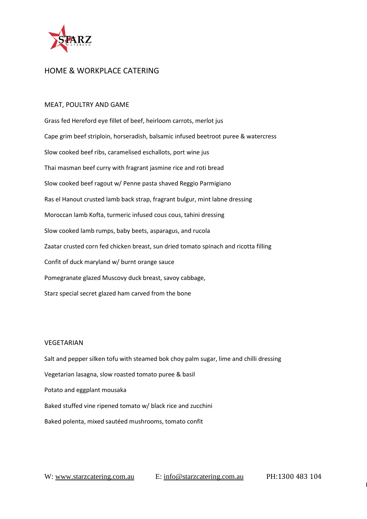

#### MEAT, POULTRY AND GAME

Grass fed Hereford eye fillet of beef, heirloom carrots, merlot jus Cape grim beef striploin, horseradish, balsamic infused beetroot puree & watercress Slow cooked beef ribs, caramelised eschallots, port wine jus Thai masman beef curry with fragrant jasmine rice and roti bread Slow cooked beef ragout w/ Penne pasta shaved Reggio Parmigiano Ras el Hanout crusted lamb back strap, fragrant bulgur, mint labne dressing Moroccan lamb Kofta, turmeric infused cous cous, tahini dressing Slow cooked lamb rumps, baby beets, asparagus, and rucola Zaatar crusted corn fed chicken breast, sun dried tomato spinach and ricotta filling Confit of duck maryland w/ burnt orange sauce Pomegranate glazed Muscovy duck breast, savoy cabbage, Starz special secret glazed ham carved from the bone

#### VEGETARIAN

Salt and pepper silken tofu with steamed bok choy palm sugar, lime and chilli dressing Vegetarian lasagna, slow roasted tomato puree & basil Potato and eggplant mousaka Baked stuffed vine ripened tomato w/ black rice and zucchini Baked polenta, mixed sautéed mushrooms, tomato confit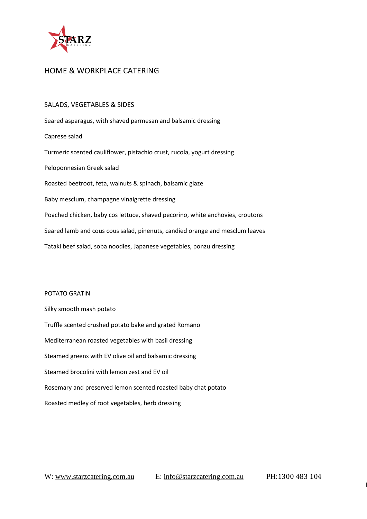

## SALADS, VEGETABLES & SIDES

Seared asparagus, with shaved parmesan and balsamic dressing Caprese salad Turmeric scented cauliflower, pistachio crust, rucola, yogurt dressing Peloponnesian Greek salad Roasted beetroot, feta, walnuts & spinach, balsamic glaze Baby mesclum, champagne vinaigrette dressing Poached chicken, baby cos lettuce, shaved pecorino, white anchovies, croutons Seared lamb and cous cous salad, pinenuts, candied orange and mesclum leaves Tataki beef salad, soba noodles, Japanese vegetables, ponzu dressing

# POTATO GRATIN Silky smooth mash potato Truffle scented crushed potato bake and grated Romano Mediterranean roasted vegetables with basil dressing Steamed greens with EV olive oil and balsamic dressing Steamed brocolini with lemon zest and EV oil Rosemary and preserved lemon scented roasted baby chat potato Roasted medley of root vegetables, herb dressing